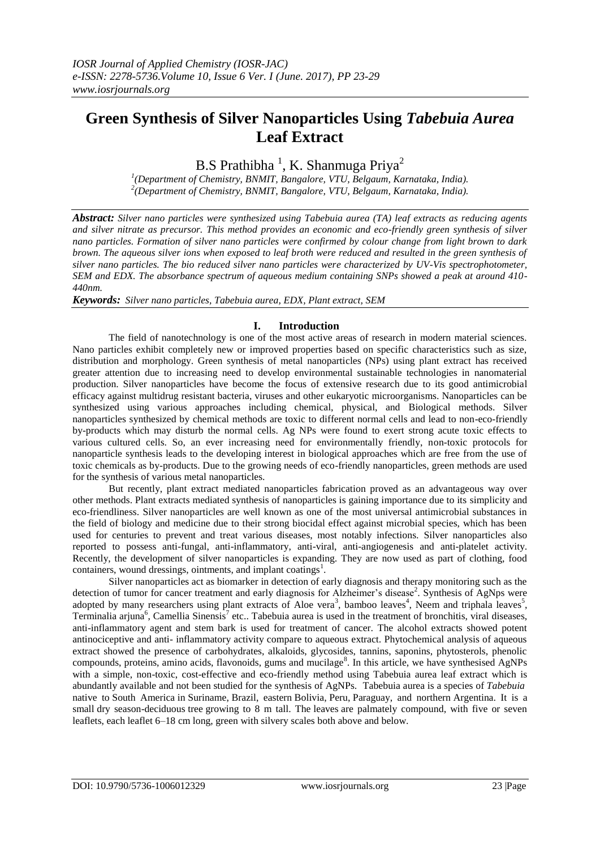# **Green Synthesis of Silver Nanoparticles Using** *Tabebuia Aurea* **Leaf Extract**

B.S Prathibha<sup>1</sup>, K. Shanmuga Priya<sup>2</sup>

*1 (Department of Chemistry, BNMIT, Bangalore, VTU, Belgaum, Karnataka, India). 2 (Department of Chemistry, BNMIT, Bangalore, VTU, Belgaum, Karnataka, India).*

*Abstract: Silver nano particles were synthesized using Tabebuia aurea (TA) leaf extracts as reducing agents and silver nitrate as precursor. This method provides an economic and eco-friendly green synthesis of silver nano particles. Formation of silver nano particles were confirmed by colour change from light brown to dark brown. The aqueous silver ions when exposed to leaf broth were reduced and resulted in the green synthesis of silver nano particles. The bio reduced silver nano particles were characterized by UV-Vis spectrophotometer, SEM and EDX. The absorbance spectrum of aqueous medium containing SNPs showed a peak at around 410- 440nm.*

*Keywords: Silver nano particles, Tabebuia aurea, EDX, Plant extract, SEM*

# **I. Introduction**

The field of nanotechnology is one of the most active areas of research in modern material sciences. Nano particles exhibit completely new or improved properties based on specific characteristics such as size, distribution and morphology. Green synthesis of metal nanoparticles (NPs) using plant extract has received greater attention due to increasing need to develop environmental sustainable technologies in nanomaterial production. Silver nanoparticles have become the focus of extensive research due to its good antimicrobial efficacy against multidrug resistant bacteria, viruses and other eukaryotic microorganisms. Nanoparticles can be synthesized using various approaches including chemical, physical, and Biological methods. Silver nanoparticles synthesized by chemical methods are toxic to different normal cells and lead to non-eco-friendly by-products which may disturb the normal cells. Ag NPs were found to exert strong acute toxic effects to various cultured cells. So, an ever increasing need for environmentally friendly, non-toxic protocols for nanoparticle synthesis leads to the developing interest in biological approaches which are free from the use of toxic chemicals as by-products. Due to the growing needs of eco-friendly nanoparticles, green methods are used for the synthesis of various metal nanoparticles.

But recently, plant extract mediated nanoparticles fabrication proved as an advantageous way over other methods. Plant extracts mediated synthesis of nanoparticles is gaining importance due to its simplicity and eco-friendliness. Silver nanoparticles are well known as one of the most universal antimicrobial substances in the field of biology and medicine due to their strong biocidal effect against microbial species, which has been used for centuries to prevent and treat various diseases, most notably infections. Silver nanoparticles also reported to possess anti-fungal, anti-inflammatory, anti-viral, anti-angiogenesis and anti-platelet activity. Recently, the development of silver nanoparticles is expanding. They are now used as part of clothing, food containers, wound dressings, ointments, and implant coatings<sup>1</sup>.

Silver nanoparticles act as biomarker in detection of early diagnosis and therapy monitoring such as the detection of tumor for cancer treatment and early diagnosis for Alzheimer's disease<sup>2</sup>. Synthesis of AgNps were adopted by many researchers using plant extracts of Aloe vera<sup>3</sup>, bamboo leaves<sup>4</sup>, Neem and triphala leaves<sup>5</sup>, Terminalia arjuna<sup>6</sup>, Camellia Sinensis<sup>7</sup> etc.. Tabebuia aurea is used in the treatment of bronchitis, viral diseases, anti-inflammatory agent and stem bark is used for treatment of cancer. The alcohol extracts showed potent antinociceptive and anti- inflammatory activity compare to aqueous extract. Phytochemical analysis of aqueous extract showed the presence of carbohydrates, alkaloids, glycosides, tannins, saponins, phytosterols, phenolic compounds, proteins, amino acids, flavonoids, gums and mucilage<sup>8</sup>. In this article, we have synthesised AgNPs with a simple, non-toxic, cost-effective and eco-friendly method using Tabebuia aurea leaf extract which is abundantly available and not been studied for the synthesis of AgNPs. Tabebuia aurea is a species of *[Tabebuia](https://en.wikipedia.org/wiki/Tabebuia)* native to [South America](https://en.wikipedia.org/wiki/South_America) in [Suriname,](https://en.wikipedia.org/wiki/Suriname) [Brazil,](https://en.wikipedia.org/wiki/Brazil) eastern [Bolivia,](https://en.wikipedia.org/wiki/Bolivia) [Peru,](https://en.wikipedia.org/wiki/Peru) [Paraguay,](https://en.wikipedia.org/wiki/Paraguay) and northern [Argentina.](https://en.wikipedia.org/wiki/Argentina) It is a small [dry season](https://en.wikipedia.org/wiki/Dry_season)[-deciduous](https://en.wikipedia.org/wiki/Deciduous) [tree](https://en.wikipedia.org/wiki/Tree) growing to 8 m tall. The [leaves](https://en.wikipedia.org/wiki/Leaf) are palmately compound, with five or seven leaflets, each leaflet 6–18 cm long, green with silvery scales both above and below.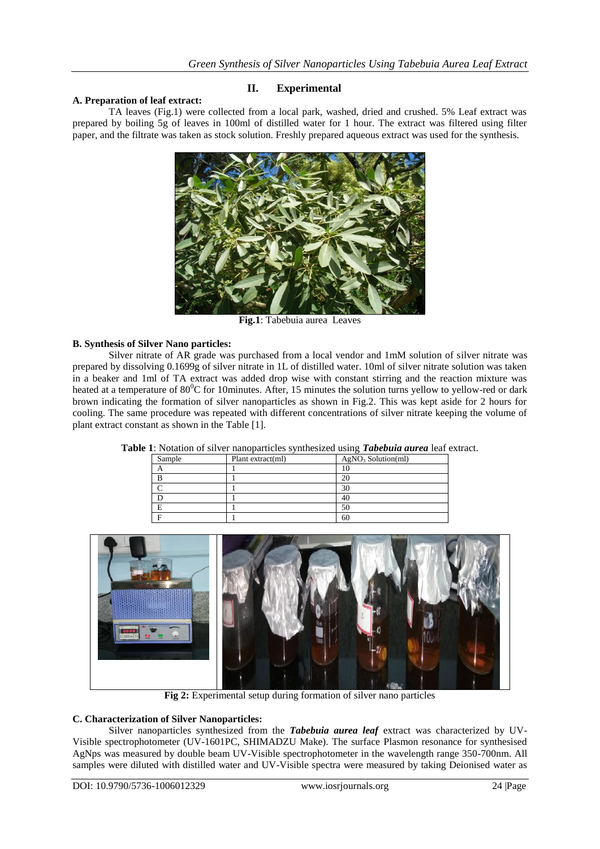# **A. Preparation of leaf extract:**

## **II. Experimental**

TA leaves (Fig.1) were collected from a local park, washed, dried and crushed. 5% Leaf extract was prepared by boiling 5g of leaves in 100ml of distilled water for 1 hour. The extract was filtered using filter paper, and the filtrate was taken as stock solution. Freshly prepared aqueous extract was used for the synthesis.



**Fig.1**: Tabebuia aurea Leaves

# **B. Synthesis of Silver Nano particles:**

Silver nitrate of AR grade was purchased from a local vendor and 1mM solution of silver nitrate was prepared by dissolving 0.1699g of silver nitrate in 1L of distilled water. 10ml of silver nitrate solution was taken in a beaker and 1ml of TA extract was added drop wise with constant stirring and the reaction mixture was heated at a temperature of  $80^0C$  for 10minutes. After, 15 minutes the solution turns yellow to yellow-red or dark brown indicating the formation of silver nanoparticles as shown in Fig.2. This was kept aside for 2 hours for cooling. The same procedure was repeated with different concentrations of silver nitrate keeping the volume of plant extract constant as shown in the Table [1].

| $\sim$ . The company of the company of the company of the company of the company of $\sim$ |                   |                                |
|--------------------------------------------------------------------------------------------|-------------------|--------------------------------|
| Sample                                                                                     | Plant extract(ml) | AgNO <sub>3</sub> Solution(ml) |
|                                                                                            |                   |                                |
|                                                                                            |                   |                                |
|                                                                                            |                   | 30                             |
|                                                                                            |                   | 40                             |
|                                                                                            |                   | 50                             |
|                                                                                            |                   | 60                             |

**Table 1**: Notation of silver nanoparticles synthesized using *Tabebuia aurea* leaf extract.



**Fig 2:** Experimental setup during formation of silver nano particles

#### **C. Characterization of Silver Nanoparticles:**

Silver nanoparticles synthesized from the *Tabebuia aurea leaf* extract was characterized by UV-Visible spectrophotometer (UV-1601PC, SHIMADZU Make). The surface Plasmon resonance for synthesised AgNps was measured by double beam UV-Visible spectrophotometer in the wavelength range 350-700nm. All samples were diluted with distilled water and UV-Visible spectra were measured by taking Deionised water as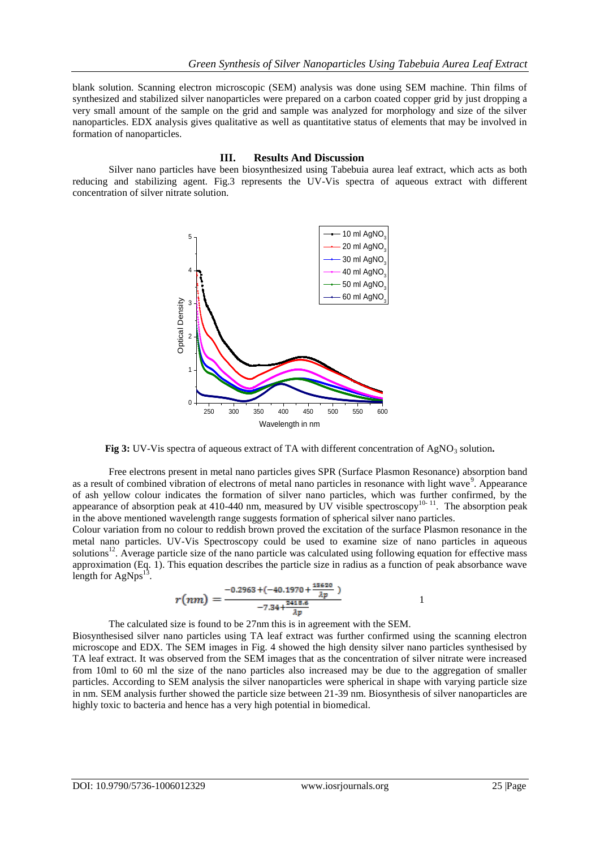blank solution. Scanning electron microscopic (SEM) analysis was done using SEM machine. Thin films of synthesized and stabilized silver nanoparticles were prepared on a carbon coated copper grid by just dropping a very small amount of the sample on the grid and sample was analyzed for morphology and size of the silver nanoparticles. EDX analysis gives qualitative as well as quantitative status of elements that may be involved in formation of nanoparticles.

#### **III. Results And Discussion**

Silver nano particles have been biosynthesized using Tabebuia aurea leaf extract, which acts as both reducing and stabilizing agent. Fig.3 represents the UV-Vis spectra of aqueous extract with different concentration of silver nitrate solution.



**Fig 3:** UV-Vis spectra of aqueous extract of TA with different concentration of AgNO<sub>3</sub> solution.

Free electrons present in metal nano particles gives SPR (Surface Plasmon Resonance) absorption band as a result of combined vibration of electrons of metal nano particles in resonance with light wave<sup>9</sup>. Appearance of ash yellow colour indicates the formation of silver nano particles, which was further confirmed, by the appearance of absorption peak at 410-440 nm, measured by UV visible spectroscopy<sup>10-11</sup>. The absorption peak in the above mentioned wavelength range suggests formation of spherical silver nano particles.

Colour variation from no colour to reddish brown proved the excitation of the surface Plasmon resonance in the metal nano particles. UV-Vis Spectroscopy could be used to examine size of nano particles in aqueous solutions<sup>12</sup>. Average particle size of the nano particle was calculated using following equation for effective mass approximation (Eq. 1). This equation describes the particle size in radius as a function of peak absorbance wave length for  $AgNps^{13}$ .

$$
r(nm) = \frac{-0.2963 + (-40.1970 + \frac{18620}{\lambda p})}{-7.34 + \frac{2418.6}{\lambda p}}
$$

The calculated size is found to be 27nm this is in agreement with the SEM.

Biosynthesised silver nano particles using TA leaf extract was further confirmed using the scanning electron microscope and EDX. The SEM images in Fig. 4 showed the high density silver nano particles synthesised by TA leaf extract. It was observed from the SEM images that as the concentration of silver nitrate were increased from 10ml to 60 ml the size of the nano particles also increased may be due to the aggregation of smaller particles. According to SEM analysis the silver nanoparticles were spherical in shape with varying particle size in nm. SEM analysis further showed the particle size between 21-39 nm. Biosynthesis of silver nanoparticles are highly toxic to bacteria and hence has a very high potential in biomedical.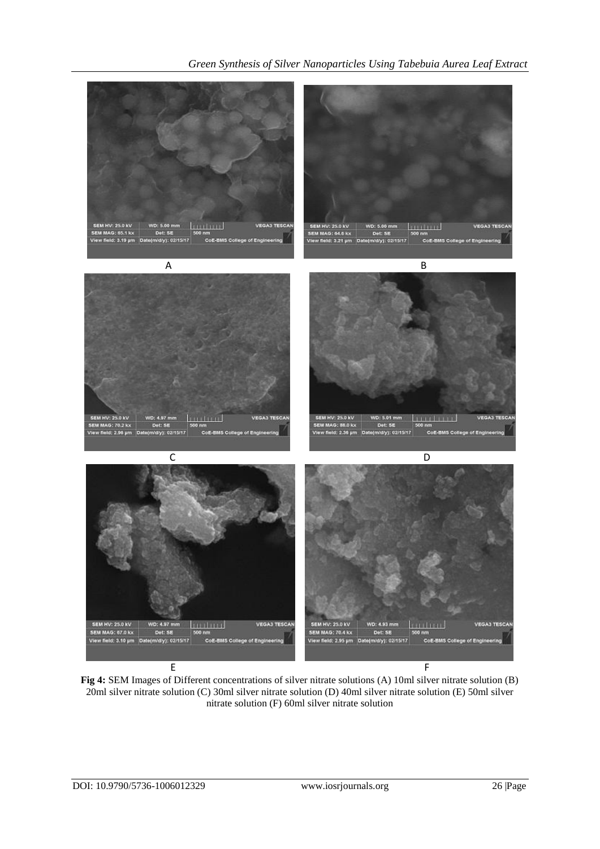

**Fig 4:** SEM Images of Different concentrations of silver nitrate solutions (A) 10ml silver nitrate solution (B) 20ml silver nitrate solution (C) 30ml silver nitrate solution (D) 40ml silver nitrate solution (E) 50ml silver nitrate solution (F) 60ml silver nitrate solution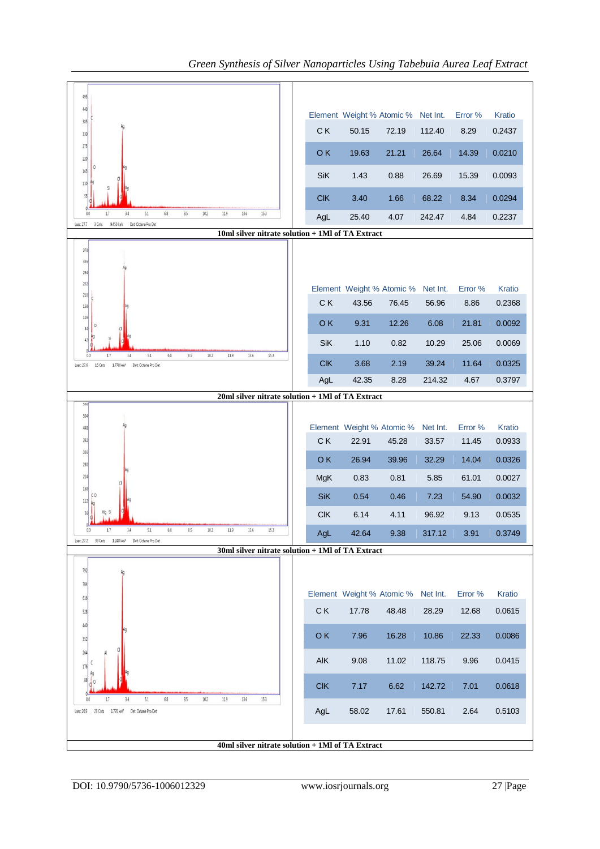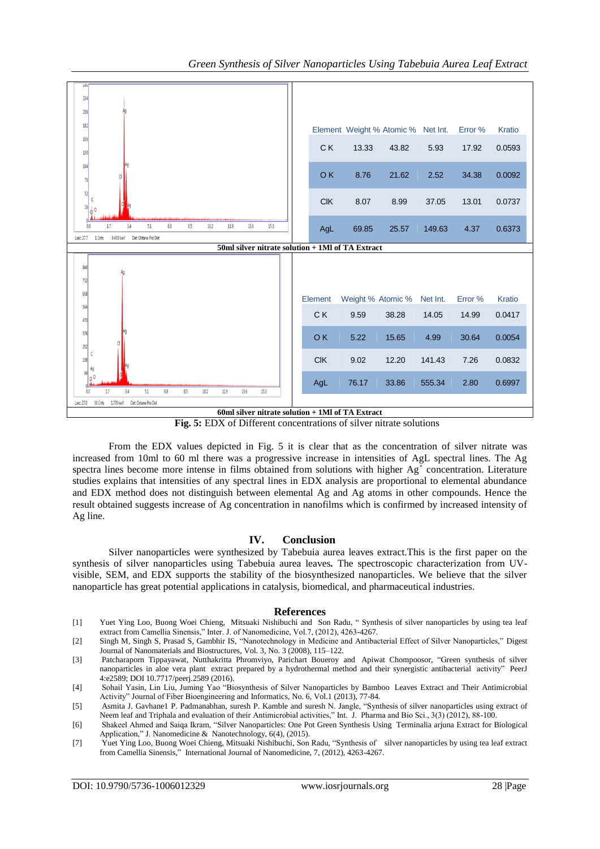

 **Fig. 5:** EDX of Different concentrations of silver nitrate solutions

From the EDX values depicted in Fig. 5 it is clear that as the concentration of silver nitrate was increased from 10ml to 60 ml there was a progressive increase in intensities of AgL spectral lines. The Ag spectra lines become more intense in films obtained from solutions with higher  $Ag^+$  concentration. Literature studies explains that intensities of any spectral lines in EDX analysis are proportional to elemental abundance and EDX method does not distinguish between elemental Ag and Ag atoms in other compounds. Hence the result obtained suggests increase of Ag concentration in nanofilms which is confirmed by increased intensity of Ag line.

#### **IV. Conclusion**

Silver nanoparticles were synthesized by Tabebuia aurea leaves extract.This is the first paper on the synthesis of silver nanoparticles using Tabebuia aurea leaves*.* The spectroscopic characterization from UVvisible, SEM, and EDX supports the stability of the biosynthesized nanoparticles. We believe that the silver nanoparticle has great potential applications in catalysis, biomedical, and pharmaceutical industries.

#### **References**

[1] Yuet Ying Loo, Buong Woei Chieng, Mitsuaki Nishibuchi and Son Radu, " Synthesis of silver nanoparticles by using tea leaf extract from Camellia Sinensis," Inter. J. of Nanomedicine, Vol.7, (2012), 4263-4267.

[2] Singh M, Singh S, Prasad S, Gambhir IS, "Nanotechnology in Medicine and Antibacterial Effect of Silver Nanoparticles," Digest Journal of Nanomaterials and Biostructures, Vol. 3, No. 3 (2008), 115–122.

[3] Patcharaporn Tippayawat, Nutthakritta Phromviyo, Parichart Boueroy and Apiwat Chompoosor, "Green synthesis of silver nanoparticles in aloe vera plant extract prepared by a hydrothermal method and their synergistic antibacterial activity" PeerJ 4:e2589; DOI 10.7717/peerj.2589 (2016).

[4] Sohail Yasin, Lin Liu, Juming Yao "Biosynthesis of Silver Nanoparticles by Bamboo Leaves Extract and Their Antimicrobial Activity" Journal of Fiber Bioengineering and Informatics, No. 6, Vol.1 (2013), 77-84.

[5] Asmita J. Gavhane1 P. Padmanabhan, suresh P. Kamble and suresh N. Jangle, "Synthesis of silver nanoparticles using extract of Neem leaf and Triphala and evaluation of their Antimicrobial activities," Int. J. Pharma and Bio Sci., 3(3) (2012), 88-100.

[6] Shakeel Ahmed and Saiqa Ikram, "Silver Nanoparticles: One Pot Green Synthesis Using Terminalia arjuna Extract for Biological Application," J. Nanomedicine & Nanotechnology, 6(4), (2015).

[7] Yuet Ying Loo, Buong Woei Chieng, Mitsuaki Nishibuchi, Son Radu, "Synthesis of silver nanoparticles by using tea leaf extract from Camellia Sinensis*,*" International Journal of Nanomedicine, 7, (2012), 4263-4267.